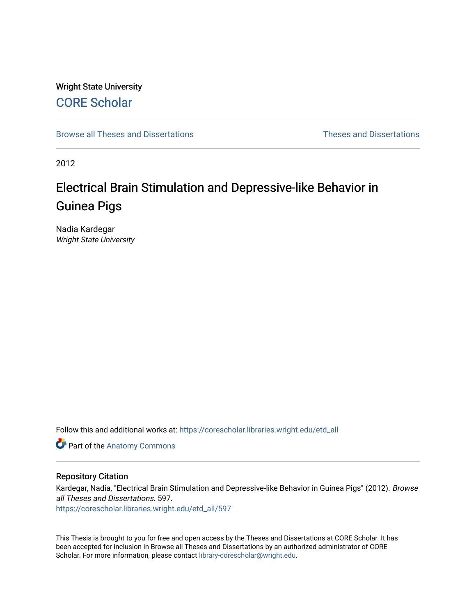## Wright State University [CORE Scholar](https://corescholar.libraries.wright.edu/)

[Browse all Theses and Dissertations](https://corescholar.libraries.wright.edu/etd_all) [Theses and Dissertations](https://corescholar.libraries.wright.edu/etd_comm) 

2012

# Electrical Brain Stimulation and Depressive-like Behavior in Guinea Pigs

Nadia Kardegar Wright State University

Follow this and additional works at: [https://corescholar.libraries.wright.edu/etd\\_all](https://corescholar.libraries.wright.edu/etd_all?utm_source=corescholar.libraries.wright.edu%2Fetd_all%2F597&utm_medium=PDF&utm_campaign=PDFCoverPages) 

Part of the [Anatomy Commons](http://network.bepress.com/hgg/discipline/903?utm_source=corescholar.libraries.wright.edu%2Fetd_all%2F597&utm_medium=PDF&utm_campaign=PDFCoverPages) 

#### Repository Citation

Kardegar, Nadia, "Electrical Brain Stimulation and Depressive-like Behavior in Guinea Pigs" (2012). Browse all Theses and Dissertations. 597.

[https://corescholar.libraries.wright.edu/etd\\_all/597](https://corescholar.libraries.wright.edu/etd_all/597?utm_source=corescholar.libraries.wright.edu%2Fetd_all%2F597&utm_medium=PDF&utm_campaign=PDFCoverPages) 

This Thesis is brought to you for free and open access by the Theses and Dissertations at CORE Scholar. It has been accepted for inclusion in Browse all Theses and Dissertations by an authorized administrator of CORE Scholar. For more information, please contact [library-corescholar@wright.edu](mailto:library-corescholar@wright.edu).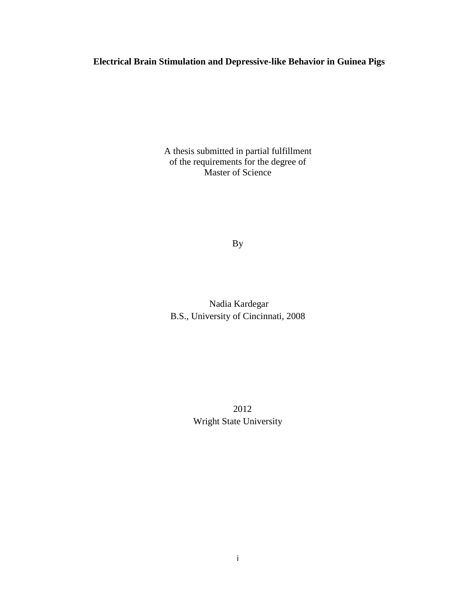### **Electrical Brain Stimulation and Depressive-like Behavior in Guinea Pigs**

A thesis submitted in partial fulfillment of the requirements for the degree of Master of Science

By

Nadia Kardegar B.S., University of Cincinnati, 2008

 2012 Wright State University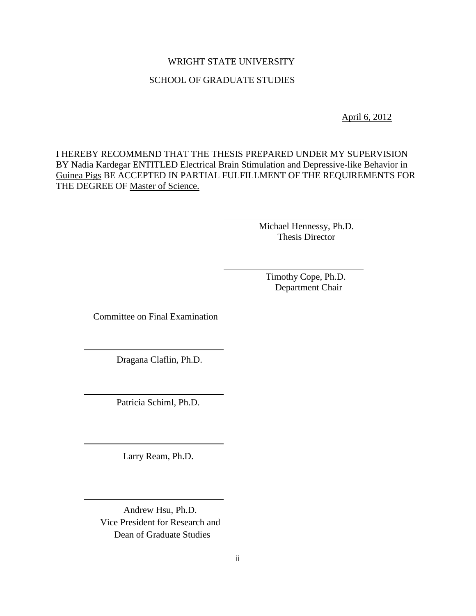## WRIGHT STATE UNIVERSITY SCHOOL OF GRADUATE STUDIES

April 6, 2012

I HEREBY RECOMMEND THAT THE THESIS PREPARED UNDER MY SUPERVISION BY Nadia Kardegar ENTITLED Electrical Brain Stimulation and Depressive-like Behavior in Guinea Pigs BE ACCEPTED IN PARTIAL FULFILLMENT OF THE REQUIREMENTS FOR THE DEGREE OF Master of Science.

> Michael Hennessy, Ph.D. Thesis Director

 Timothy Cope, Ph.D. Department Chair

Committee on Final Examination

Dragana Claflin, Ph.D.

Patricia Schiml, Ph.D.

Larry Ream, Ph.D.

j

 Andrew Hsu, Ph.D. Vice President for Research and Dean of Graduate Studies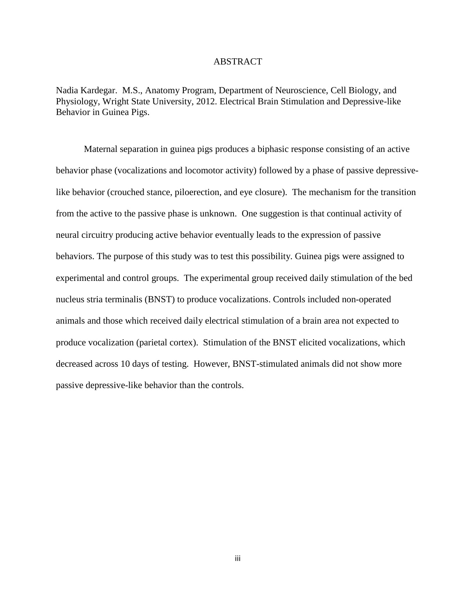#### ABSTRACT

Nadia Kardegar. M.S., Anatomy Program, Department of Neuroscience, Cell Biology, and Physiology, Wright State University, 2012. Electrical Brain Stimulation and Depressive-like Behavior in Guinea Pigs.

Maternal separation in guinea pigs produces a biphasic response consisting of an active behavior phase (vocalizations and locomotor activity) followed by a phase of passive depressivelike behavior (crouched stance, piloerection, and eye closure). The mechanism for the transition from the active to the passive phase is unknown. One suggestion is that continual activity of neural circuitry producing active behavior eventually leads to the expression of passive behaviors. The purpose of this study was to test this possibility. Guinea pigs were assigned to experimental and control groups. The experimental group received daily stimulation of the bed nucleus stria terminalis (BNST) to produce vocalizations. Controls included non-operated animals and those which received daily electrical stimulation of a brain area not expected to produce vocalization (parietal cortex). Stimulation of the BNST elicited vocalizations, which decreased across 10 days of testing. However, BNST-stimulated animals did not show more passive depressive-like behavior than the controls.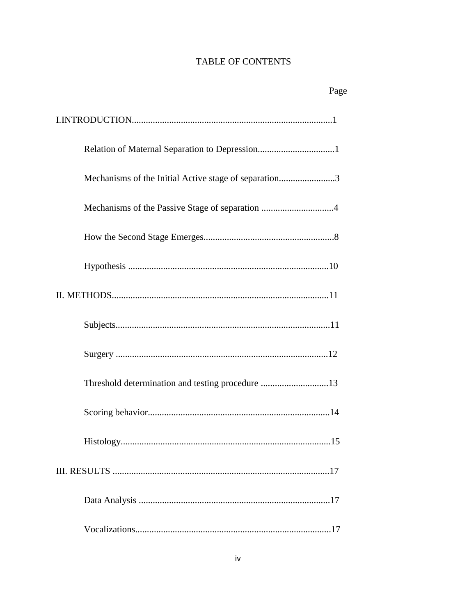### TABLE OF CONTENTS

## Page

|  | Mechanisms of the Initial Active stage of separation3 |  |
|--|-------------------------------------------------------|--|
|  | Mechanisms of the Passive Stage of separation 4       |  |
|  |                                                       |  |
|  |                                                       |  |
|  |                                                       |  |
|  |                                                       |  |
|  |                                                       |  |
|  | Threshold determination and testing procedure 13      |  |
|  |                                                       |  |
|  |                                                       |  |
|  |                                                       |  |
|  |                                                       |  |
|  |                                                       |  |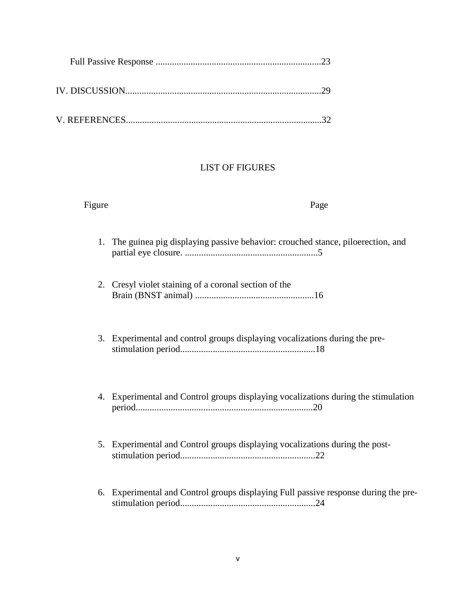#### LIST OF FIGURES

#### Figure Page

- 1. The guinea pig displaying passive behavior: crouched stance, piloerection, and partial eye closure. .........................................................5
- 2. Cresyl violet staining of a coronal section of the Brain (BNST animal) ...................................................16
- 3. Experimental and control groups displaying vocalizations during the prestimulation period..........................................................18
- 4. Experimental and Control groups displaying vocalizations during the stimulation period............................................................................20
- 5. Experimental and Control groups displaying vocalizations during the poststimulation period..........................................................22
- 6. Experimental and Control groups displaying Full passive response during the prestimulation period..........................................................24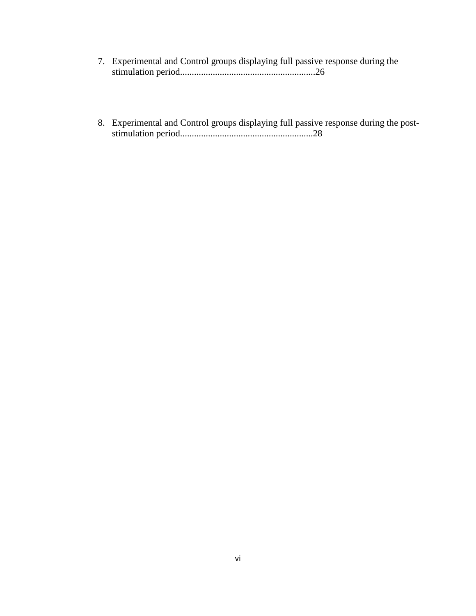- 7. Experimental and Control groups displaying full passive response during the stimulation period..........................................................26
- 8. Experimental and Control groups displaying full passive response during the poststimulation period.........................................................28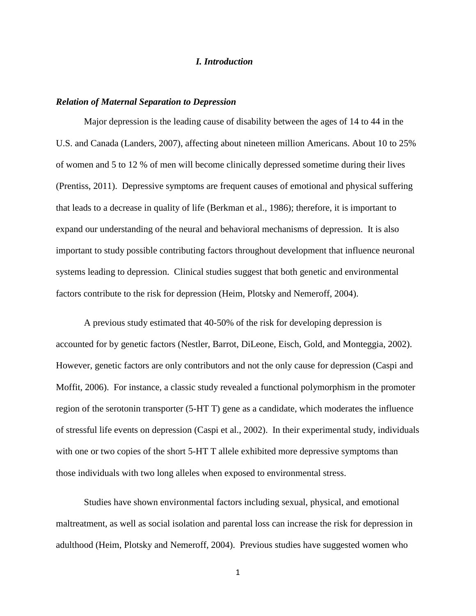#### *I. Introduction*

#### *Relation of Maternal Separation to Depression*

Major depression is the leading cause of disability between the ages of 14 to 44 in the U.S. and Canada (Landers, 2007), affecting about nineteen million Americans. About 10 to 25% of women and 5 to 12 % of men will become clinically depressed sometime during their lives (Prentiss, 2011). Depressive symptoms are frequent causes of emotional and physical suffering that leads to a decrease in quality of life (Berkman et al., 1986); therefore, it is important to expand our understanding of the neural and behavioral mechanisms of depression. It is also important to study possible contributing factors throughout development that influence neuronal systems leading to depression. Clinical studies suggest that both genetic and environmental factors contribute to the risk for depression (Heim, Plotsky and Nemeroff, 2004).

A previous study estimated that 40-50% of the risk for developing depression is accounted for by genetic factors (Nestler, Barrot, DiLeone, Eisch, Gold, and Monteggia, 2002). However, genetic factors are only contributors and not the only cause for depression (Caspi and Moffit, 2006). For instance, a classic study revealed a functional polymorphism in the promoter region of the serotonin transporter (5-HT T) gene as a candidate, which moderates the influence of stressful life events on depression (Caspi et al., 2002). In their experimental study, individuals with one or two copies of the short 5-HT T allele exhibited more depressive symptoms than those individuals with two long alleles when exposed to environmental stress.

Studies have shown environmental factors including sexual, physical, and emotional maltreatment, as well as social isolation and parental loss can increase the risk for depression in adulthood (Heim, Plotsky and Nemeroff, 2004). Previous studies have suggested women who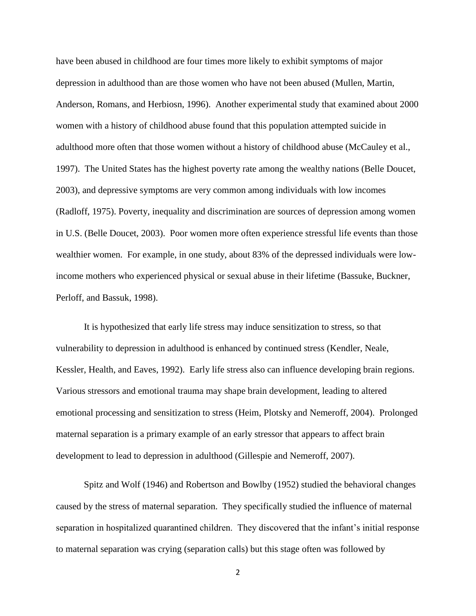have been abused in childhood are four times more likely to exhibit symptoms of major depression in adulthood than are those women who have not been abused (Mullen, Martin, Anderson, Romans, and Herbiosn, 1996). Another experimental study that examined about 2000 women with a history of childhood abuse found that this population attempted suicide in adulthood more often that those women without a history of childhood abuse (McCauley et al., 1997). The United States has the highest poverty rate among the wealthy nations (Belle Doucet, 2003), and depressive symptoms are very common among individuals with low incomes (Radloff, 1975). Poverty, inequality and discrimination are sources of depression among women in U.S. (Belle Doucet, 2003). Poor women more often experience stressful life events than those wealthier women. For example, in one study, about 83% of the depressed individuals were lowincome mothers who experienced physical or sexual abuse in their lifetime (Bassuke, Buckner, Perloff, and Bassuk, 1998).

It is hypothesized that early life stress may induce sensitization to stress, so that vulnerability to depression in adulthood is enhanced by continued stress (Kendler, Neale, Kessler, Health, and Eaves, 1992). Early life stress also can influence developing brain regions. Various stressors and emotional trauma may shape brain development, leading to altered emotional processing and sensitization to stress (Heim, Plotsky and Nemeroff, 2004). Prolonged maternal separation is a primary example of an early stressor that appears to affect brain development to lead to depression in adulthood (Gillespie and Nemeroff, 2007).

Spitz and Wolf (1946) and Robertson and Bowlby (1952) studied the behavioral changes caused by the stress of maternal separation. They specifically studied the influence of maternal separation in hospitalized quarantined children. They discovered that the infant's initial response to maternal separation was crying (separation calls) but this stage often was followed by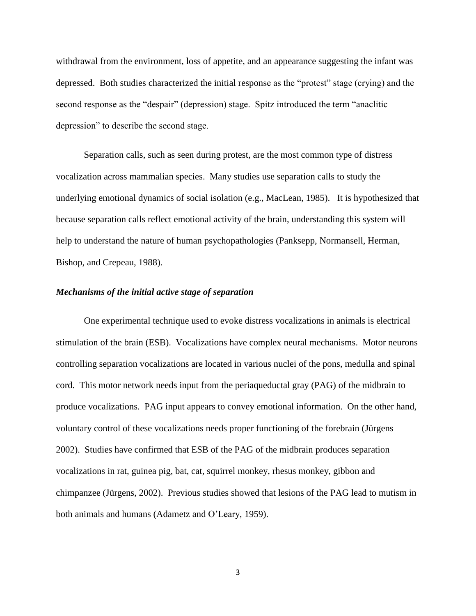withdrawal from the environment, loss of appetite, and an appearance suggesting the infant was depressed. Both studies characterized the initial response as the "protest" stage (crying) and the second response as the "despair" (depression) stage. Spitz introduced the term "anaclitic depression" to describe the second stage.

Separation calls, such as seen during protest, are the most common type of distress vocalization across mammalian species. Many studies use separation calls to study the underlying emotional dynamics of social isolation (e.g., MacLean, 1985). It is hypothesized that because separation calls reflect emotional activity of the brain, understanding this system will help to understand the nature of human psychopathologies (Panksepp, Normansell, Herman, Bishop, and Crepeau, 1988).

#### *Mechanisms of the initial active stage of separation*

One experimental technique used to evoke distress vocalizations in animals is electrical stimulation of the brain (ESB). Vocalizations have complex neural mechanisms. Motor neurons controlling separation vocalizations are located in various nuclei of the pons, medulla and spinal cord. This motor network needs input from the periaqueductal gray (PAG) of the midbrain to produce vocalizations. PAG input appears to convey emotional information. On the other hand, voluntary control of these vocalizations needs proper functioning of the forebrain (Jürgens 2002). Studies have confirmed that ESB of the PAG of the midbrain produces separation vocalizations in rat, guinea pig, bat, cat, squirrel monkey, rhesus monkey, gibbon and chimpanzee (Jürgens, 2002). Previous studies showed that lesions of the PAG lead to mutism in both animals and humans (Adametz and O'Leary, 1959).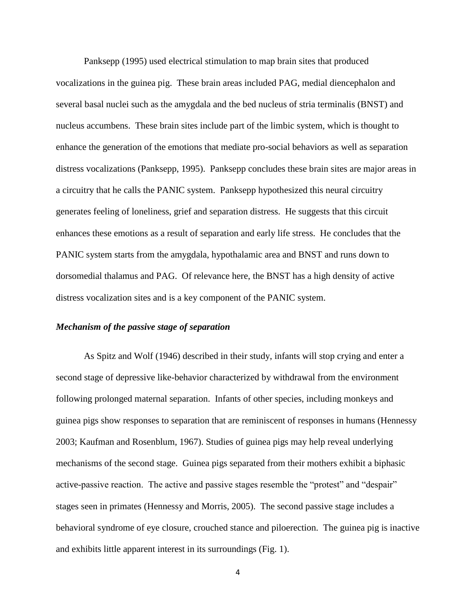Panksepp (1995) used electrical stimulation to map brain sites that produced vocalizations in the guinea pig. These brain areas included PAG, medial diencephalon and several basal nuclei such as the amygdala and the bed nucleus of stria terminalis (BNST) and nucleus accumbens. These brain sites include part of the limbic system, which is thought to enhance the generation of the emotions that mediate pro-social behaviors as well as separation distress vocalizations (Panksepp, 1995). Panksepp concludes these brain sites are major areas in a circuitry that he calls the PANIC system. Panksepp hypothesized this neural circuitry generates feeling of loneliness, grief and separation distress. He suggests that this circuit enhances these emotions as a result of separation and early life stress. He concludes that the PANIC system starts from the amygdala, hypothalamic area and BNST and runs down to dorsomedial thalamus and PAG. Of relevance here, the BNST has a high density of active distress vocalization sites and is a key component of the PANIC system.

#### *Mechanism of the passive stage of separation*

As Spitz and Wolf (1946) described in their study, infants will stop crying and enter a second stage of depressive like-behavior characterized by withdrawal from the environment following prolonged maternal separation. Infants of other species, including monkeys and guinea pigs show responses to separation that are reminiscent of responses in humans (Hennessy 2003; Kaufman and Rosenblum, 1967). Studies of guinea pigs may help reveal underlying mechanisms of the second stage. Guinea pigs separated from their mothers exhibit a biphasic active-passive reaction. The active and passive stages resemble the "protest" and "despair" stages seen in primates (Hennessy and Morris, 2005). The second passive stage includes a behavioral syndrome of eye closure, crouched stance and piloerection. The guinea pig is inactive and exhibits little apparent interest in its surroundings (Fig. 1).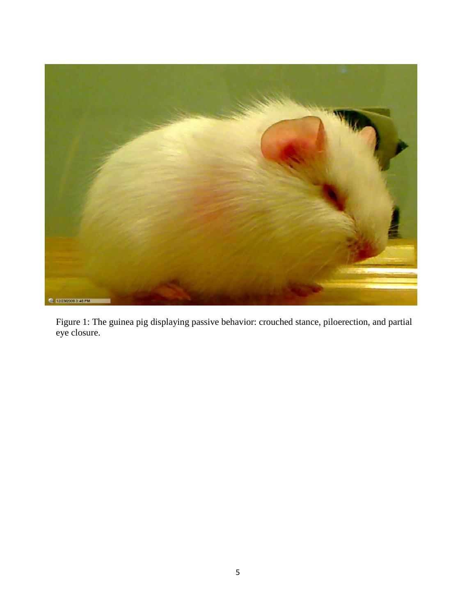

Figure 1: The guinea pig displaying passive behavior: crouched stance, piloerection, and partial eye closure.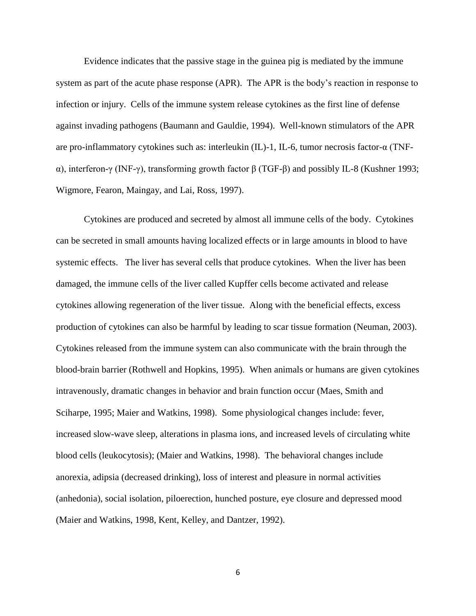Evidence indicates that the passive stage in the guinea pig is mediated by the immune system as part of the acute phase response (APR). The APR is the body's reaction in response to infection or injury. Cells of the immune system release cytokines as the first line of defense against invading pathogens (Baumann and Gauldie, 1994). Well-known stimulators of the APR are pro-inflammatory cytokines such as: interleukin (IL)-1, IL-6, tumor necrosis factor-α (TNFα), interferon-γ (INF-γ), transforming growth factor β (TGF-β) and possibly IL-8 (Kushner 1993; Wigmore, Fearon, Maingay, and Lai, Ross, 1997).

Cytokines are produced and secreted by almost all immune cells of the body. Cytokines can be secreted in small amounts having localized effects or in large amounts in blood to have systemic effects. The liver has several cells that produce cytokines. When the liver has been damaged, the immune cells of the liver called Kupffer cells become activated and release cytokines allowing regeneration of the liver tissue. Along with the beneficial effects, excess production of cytokines can also be harmful by leading to scar tissue formation (Neuman, 2003). Cytokines released from the immune system can also communicate with the brain through the blood-brain barrier (Rothwell and Hopkins, 1995). When animals or humans are given cytokines intravenously, dramatic changes in behavior and brain function occur (Maes, Smith and Sciharpe, 1995; Maier and Watkins, 1998). Some physiological changes include: fever, increased slow-wave sleep, alterations in plasma ions, and increased levels of circulating white blood cells (leukocytosis); (Maier and Watkins, 1998). The behavioral changes include anorexia, adipsia (decreased drinking), loss of interest and pleasure in normal activities (anhedonia), social isolation, piloerection, hunched posture, eye closure and depressed mood (Maier and Watkins, 1998, Kent, Kelley, and Dantzer, 1992).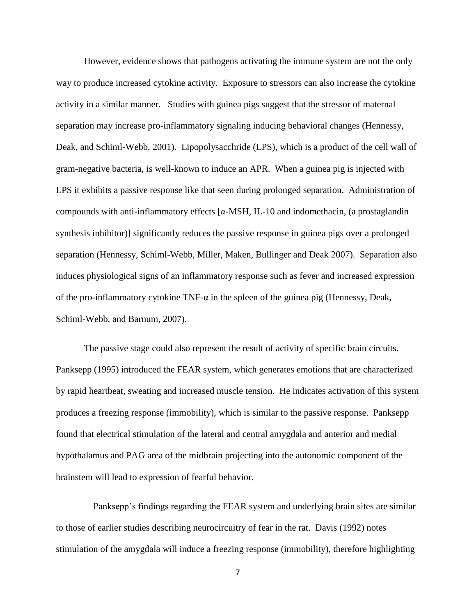However, evidence shows that pathogens activating the immune system are not the only way to produce increased cytokine activity. Exposure to stressors can also increase the cytokine activity in a similar manner. Studies with guinea pigs suggest that the stressor of maternal separation may increase pro-inflammatory signaling inducing behavioral changes (Hennessy, Deak, and Schiml-Webb, 2001). Lipopolysacchride (LPS), which is a product of the cell wall of gram-negative bacteria, is well-known to induce an APR. When a guinea pig is injected with LPS it exhibits a passive response like that seen during prolonged separation. Administration of compounds with anti-inflammatory effects [*α*-MSH, IL-10 and indomethacin, (a prostaglandin synthesis inhibitor)] significantly reduces the passive response in guinea pigs over a prolonged separation (Hennessy, Schiml-Webb, Miller, Maken, Bullinger and Deak 2007). Separation also induces physiological signs of an inflammatory response such as fever and increased expression of the pro-inflammatory cytokine TNF-α in the spleen of the guinea pig (Hennessy, Deak, Schiml-Webb, and Barnum, 2007).

The passive stage could also represent the result of activity of specific brain circuits. Panksepp (1995) introduced the FEAR system, which generates emotions that are characterized by rapid heartbeat, sweating and increased muscle tension. He indicates activation of this system produces a freezing response (immobility), which is similar to the passive response. Panksepp found that electrical stimulation of the lateral and central amygdala and anterior and medial hypothalamus and PAG area of the midbrain projecting into the autonomic component of the brainstem will lead to expression of fearful behavior.

 Panksepp's findings regarding the FEAR system and underlying brain sites are similar to those of earlier studies describing neurocircuitry of fear in the rat. Davis (1992) notes stimulation of the amygdala will induce a freezing response (immobility), therefore highlighting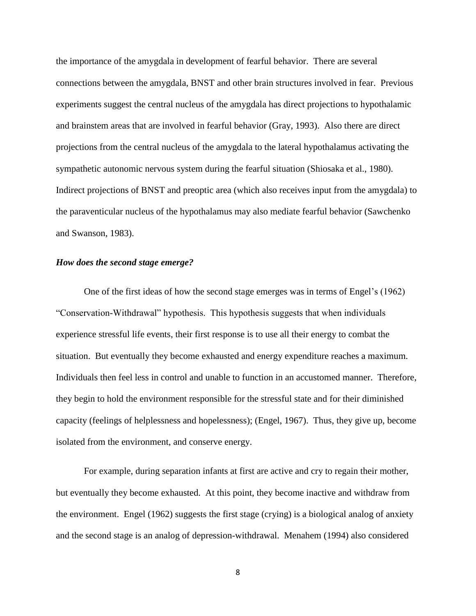the importance of the amygdala in development of fearful behavior. There are several connections between the amygdala, BNST and other brain structures involved in fear. Previous experiments suggest the central nucleus of the amygdala has direct projections to hypothalamic and brainstem areas that are involved in fearful behavior (Gray, 1993). Also there are direct projections from the central nucleus of the amygdala to the lateral hypothalamus activating the sympathetic autonomic nervous system during the fearful situation (Shiosaka et al., 1980). Indirect projections of BNST and preoptic area (which also receives input from the amygdala) to the paraventicular nucleus of the hypothalamus may also mediate fearful behavior (Sawchenko and Swanson, 1983).

#### *How does the second stage emerge?*

One of the first ideas of how the second stage emerges was in terms of Engel's (1962) "Conservation-Withdrawal" hypothesis. This hypothesis suggests that when individuals experience stressful life events, their first response is to use all their energy to combat the situation. But eventually they become exhausted and energy expenditure reaches a maximum. Individuals then feel less in control and unable to function in an accustomed manner. Therefore, they begin to hold the environment responsible for the stressful state and for their diminished capacity (feelings of helplessness and hopelessness); (Engel, 1967). Thus, they give up, become isolated from the environment, and conserve energy.

For example, during separation infants at first are active and cry to regain their mother, but eventually they become exhausted. At this point, they become inactive and withdraw from the environment. Engel (1962) suggests the first stage (crying) is a biological analog of anxiety and the second stage is an analog of depression-withdrawal. Menahem (1994) also considered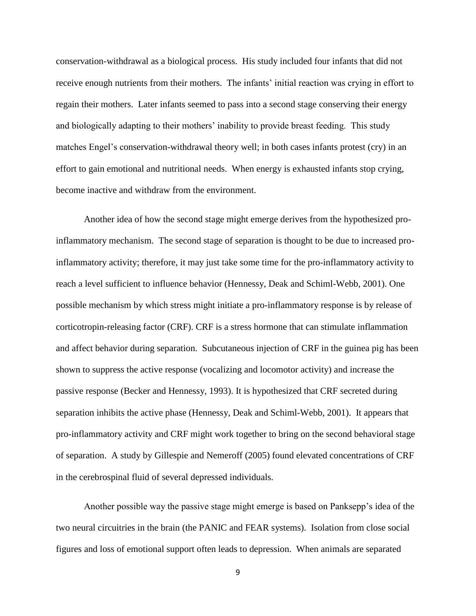conservation-withdrawal as a biological process. His study included four infants that did not receive enough nutrients from their mothers. The infants' initial reaction was crying in effort to regain their mothers. Later infants seemed to pass into a second stage conserving their energy and biologically adapting to their mothers' inability to provide breast feeding. This study matches Engel's conservation-withdrawal theory well; in both cases infants protest (cry) in an effort to gain emotional and nutritional needs. When energy is exhausted infants stop crying, become inactive and withdraw from the environment.

Another idea of how the second stage might emerge derives from the hypothesized proinflammatory mechanism. The second stage of separation is thought to be due to increased proinflammatory activity; therefore, it may just take some time for the pro-inflammatory activity to reach a level sufficient to influence behavior (Hennessy, Deak and Schiml-Webb, 2001). One possible mechanism by which stress might initiate a pro-inflammatory response is by release of corticotropin-releasing factor (CRF). CRF is a stress hormone that can stimulate inflammation and affect behavior during separation. Subcutaneous injection of CRF in the guinea pig has been shown to suppress the active response (vocalizing and locomotor activity) and increase the passive response (Becker and Hennessy, 1993). It is hypothesized that CRF secreted during separation inhibits the active phase (Hennessy, Deak and Schiml-Webb, 2001). It appears that pro-inflammatory activity and CRF might work together to bring on the second behavioral stage of separation. A study by Gillespie and Nemeroff (2005) found elevated concentrations of CRF in the cerebrospinal fluid of several depressed individuals.

Another possible way the passive stage might emerge is based on Panksepp's idea of the two neural circuitries in the brain (the PANIC and FEAR systems). Isolation from close social figures and loss of emotional support often leads to depression. When animals are separated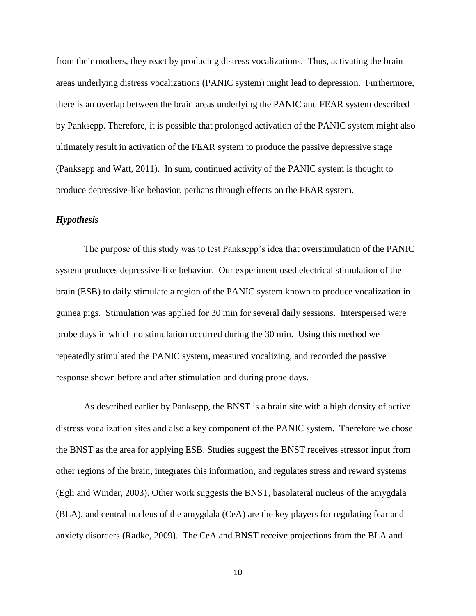from their mothers, they react by producing distress vocalizations. Thus, activating the brain areas underlying distress vocalizations (PANIC system) might lead to depression. Furthermore, there is an overlap between the brain areas underlying the PANIC and FEAR system described by Panksepp. Therefore, it is possible that prolonged activation of the PANIC system might also ultimately result in activation of the FEAR system to produce the passive depressive stage (Panksepp and Watt, 2011). In sum, continued activity of the PANIC system is thought to produce depressive-like behavior, perhaps through effects on the FEAR system.

#### *Hypothesis*

The purpose of this study was to test Panksepp's idea that overstimulation of the PANIC system produces depressive-like behavior. Our experiment used electrical stimulation of the brain (ESB) to daily stimulate a region of the PANIC system known to produce vocalization in guinea pigs. Stimulation was applied for 30 min for several daily sessions. Interspersed were probe days in which no stimulation occurred during the 30 min. Using this method we repeatedly stimulated the PANIC system, measured vocalizing, and recorded the passive response shown before and after stimulation and during probe days.

As described earlier by Panksepp, the BNST is a brain site with a high density of active distress vocalization sites and also a key component of the PANIC system. Therefore we chose the BNST as the area for applying ESB. Studies suggest the BNST receives stressor input from other regions of the brain, integrates this information, and regulates stress and reward systems (Egli and Winder, 2003). Other work suggests the BNST, basolateral nucleus of the amygdala (BLA), and central nucleus of the amygdala (CeA) are the key players for regulating fear and anxiety disorders (Radke, 2009). The CeA and BNST receive projections from the BLA and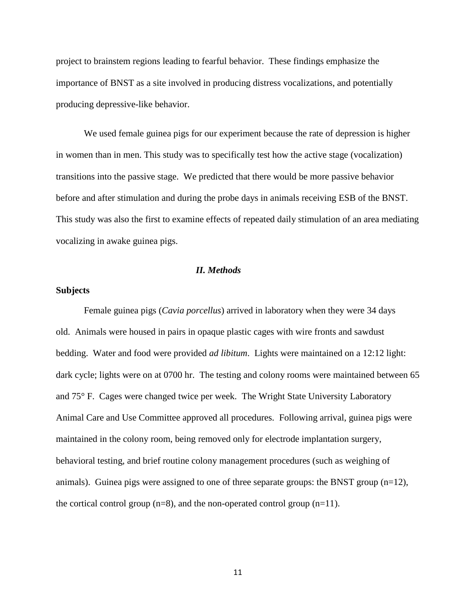project to brainstem regions leading to fearful behavior. These findings emphasize the importance of BNST as a site involved in producing distress vocalizations, and potentially producing depressive-like behavior.

We used female guinea pigs for our experiment because the rate of depression is higher in women than in men. This study was to specifically test how the active stage (vocalization) transitions into the passive stage. We predicted that there would be more passive behavior before and after stimulation and during the probe days in animals receiving ESB of the BNST. This study was also the first to examine effects of repeated daily stimulation of an area mediating vocalizing in awake guinea pigs.

#### *II. Methods*

#### **Subjects**

Female guinea pigs (*Cavia porcellus*) arrived in laboratory when they were 34 days old. Animals were housed in pairs in opaque plastic cages with wire fronts and sawdust bedding. Water and food were provided *ad libitum*. Lights were maintained on a 12:12 light: dark cycle; lights were on at 0700 hr. The testing and colony rooms were maintained between 65 and 75° F. Cages were changed twice per week. The Wright State University Laboratory Animal Care and Use Committee approved all procedures. Following arrival, guinea pigs were maintained in the colony room, being removed only for electrode implantation surgery, behavioral testing, and brief routine colony management procedures (such as weighing of animals). Guinea pigs were assigned to one of three separate groups: the BNST group (n=12), the cortical control group  $(n=8)$ , and the non-operated control group  $(n=11)$ .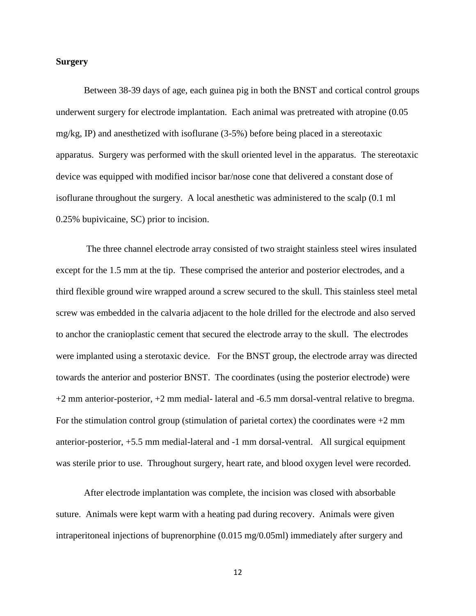#### **Surgery**

Between 38-39 days of age, each guinea pig in both the BNST and cortical control groups underwent surgery for electrode implantation. Each animal was pretreated with atropine (0.05 mg/kg, IP) and anesthetized with isoflurane (3-5%) before being placed in a stereotaxic apparatus. Surgery was performed with the skull oriented level in the apparatus. The stereotaxic device was equipped with modified incisor bar/nose cone that delivered a constant dose of isoflurane throughout the surgery. A local anesthetic was administered to the scalp (0.1 ml 0.25% bupivicaine, SC) prior to incision.

The three channel electrode array consisted of two straight stainless steel wires insulated except for the 1.5 mm at the tip. These comprised the anterior and posterior electrodes, and a third flexible ground wire wrapped around a screw secured to the skull. This stainless steel metal screw was embedded in the calvaria adjacent to the hole drilled for the electrode and also served to anchor the cranioplastic cement that secured the electrode array to the skull. The electrodes were implanted using a sterotaxic device. For the BNST group, the electrode array was directed towards the anterior and posterior BNST. The coordinates (using the posterior electrode) were +2 mm anterior-posterior, +2 mm medial- lateral and -6.5 mm dorsal-ventral relative to bregma. For the stimulation control group (stimulation of parietal cortex) the coordinates were  $+2$  mm anterior-posterior, +5.5 mm medial-lateral and -1 mm dorsal-ventral. All surgical equipment was sterile prior to use. Throughout surgery, heart rate, and blood oxygen level were recorded.

After electrode implantation was complete, the incision was closed with absorbable suture. Animals were kept warm with a heating pad during recovery. Animals were given intraperitoneal injections of buprenorphine (0.015 mg/0.05ml) immediately after surgery and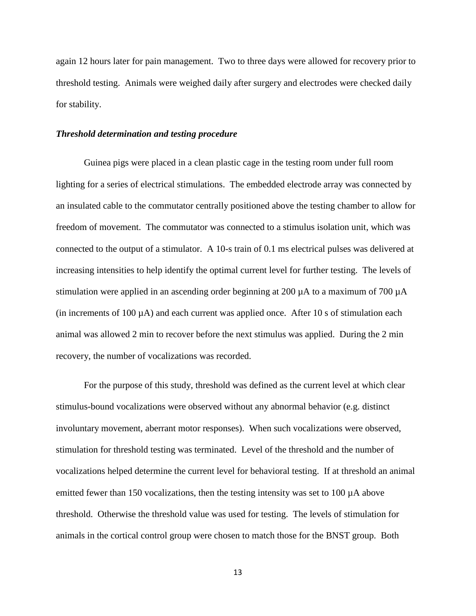again 12 hours later for pain management. Two to three days were allowed for recovery prior to threshold testing. Animals were weighed daily after surgery and electrodes were checked daily for stability.

#### *Threshold determination and testing procedure*

Guinea pigs were placed in a clean plastic cage in the testing room under full room lighting for a series of electrical stimulations. The embedded electrode array was connected by an insulated cable to the commutator centrally positioned above the testing chamber to allow for freedom of movement. The commutator was connected to a stimulus isolation unit, which was connected to the output of a stimulator. A 10-s train of 0.1 ms electrical pulses was delivered at increasing intensities to help identify the optimal current level for further testing. The levels of stimulation were applied in an ascending order beginning at 200 µA to a maximum of 700 µA (in increments of 100  $\mu$ A) and each current was applied once. After 10 s of stimulation each animal was allowed 2 min to recover before the next stimulus was applied. During the 2 min recovery, the number of vocalizations was recorded.

For the purpose of this study, threshold was defined as the current level at which clear stimulus-bound vocalizations were observed without any abnormal behavior (e.g. distinct involuntary movement, aberrant motor responses). When such vocalizations were observed, stimulation for threshold testing was terminated. Level of the threshold and the number of vocalizations helped determine the current level for behavioral testing. If at threshold an animal emitted fewer than 150 vocalizations, then the testing intensity was set to 100  $\mu$ A above threshold. Otherwise the threshold value was used for testing. The levels of stimulation for animals in the cortical control group were chosen to match those for the BNST group. Both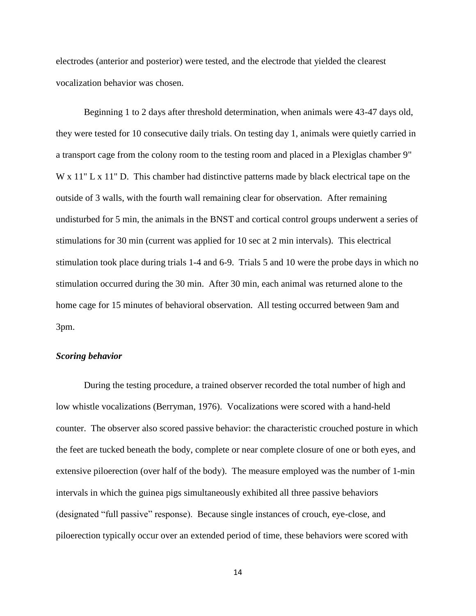electrodes (anterior and posterior) were tested, and the electrode that yielded the clearest vocalization behavior was chosen.

Beginning 1 to 2 days after threshold determination, when animals were 43-47 days old, they were tested for 10 consecutive daily trials. On testing day 1, animals were quietly carried in a transport cage from the colony room to the testing room and placed in a Plexiglas chamber 9" W x 11" L x 11" D. This chamber had distinctive patterns made by black electrical tape on the outside of 3 walls, with the fourth wall remaining clear for observation. After remaining undisturbed for 5 min, the animals in the BNST and cortical control groups underwent a series of stimulations for 30 min (current was applied for 10 sec at 2 min intervals). This electrical stimulation took place during trials 1-4 and 6-9. Trials 5 and 10 were the probe days in which no stimulation occurred during the 30 min. After 30 min, each animal was returned alone to the home cage for 15 minutes of behavioral observation. All testing occurred between 9am and 3pm.

#### *Scoring behavior*

During the testing procedure, a trained observer recorded the total number of high and low whistle vocalizations (Berryman, 1976). Vocalizations were scored with a hand-held counter. The observer also scored passive behavior: the characteristic crouched posture in which the feet are tucked beneath the body, complete or near complete closure of one or both eyes, and extensive piloerection (over half of the body). The measure employed was the number of 1-min intervals in which the guinea pigs simultaneously exhibited all three passive behaviors (designated "full passive" response). Because single instances of crouch, eye-close, and piloerection typically occur over an extended period of time, these behaviors were scored with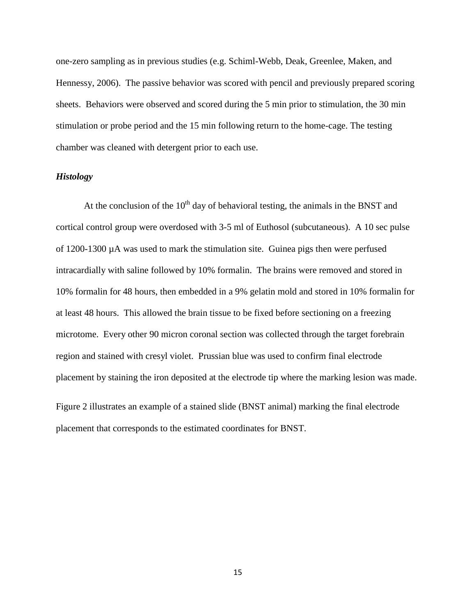one-zero sampling as in previous studies (e.g. Schiml-Webb, Deak, Greenlee, Maken, and Hennessy, 2006). The passive behavior was scored with pencil and previously prepared scoring sheets. Behaviors were observed and scored during the 5 min prior to stimulation, the 30 min stimulation or probe period and the 15 min following return to the home-cage. The testing chamber was cleaned with detergent prior to each use.

#### *Histology*

At the conclusion of the  $10<sup>th</sup>$  day of behavioral testing, the animals in the BNST and cortical control group were overdosed with 3-5 ml of Euthosol (subcutaneous). A 10 sec pulse of 1200-1300 µA was used to mark the stimulation site. Guinea pigs then were perfused intracardially with saline followed by 10% formalin. The brains were removed and stored in 10% formalin for 48 hours, then embedded in a 9% gelatin mold and stored in 10% formalin for at least 48 hours. This allowed the brain tissue to be fixed before sectioning on a freezing microtome. Every other 90 micron coronal section was collected through the target forebrain region and stained with cresyl violet. Prussian blue was used to confirm final electrode placement by staining the iron deposited at the electrode tip where the marking lesion was made.

Figure 2 illustrates an example of a stained slide (BNST animal) marking the final electrode placement that corresponds to the estimated coordinates for BNST.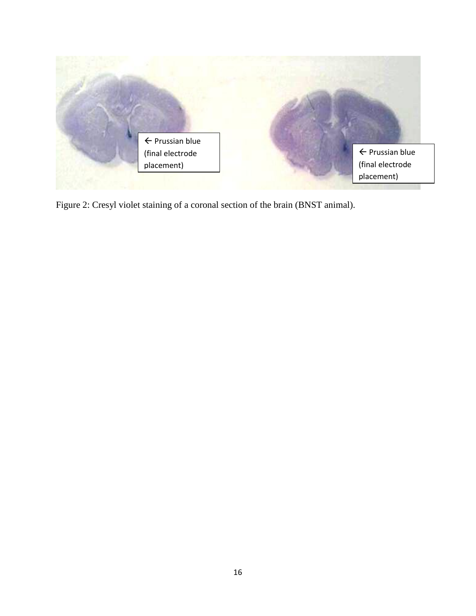

Figure 2: Cresyl violet staining of a coronal section of the brain (BNST animal).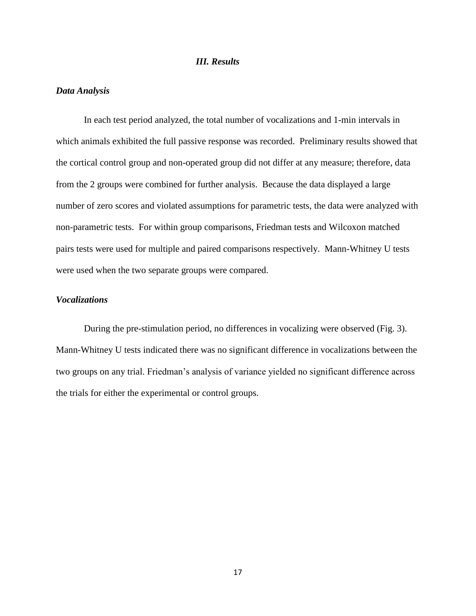#### *III. Results*

#### *Data Analysis*

In each test period analyzed, the total number of vocalizations and 1-min intervals in which animals exhibited the full passive response was recorded. Preliminary results showed that the cortical control group and non-operated group did not differ at any measure; therefore, data from the 2 groups were combined for further analysis. Because the data displayed a large number of zero scores and violated assumptions for parametric tests, the data were analyzed with non-parametric tests. For within group comparisons, Friedman tests and Wilcoxon matched pairs tests were used for multiple and paired comparisons respectively. Mann-Whitney U tests were used when the two separate groups were compared.

#### *Vocalizations*

During the pre-stimulation period, no differences in vocalizing were observed (Fig. 3). Mann-Whitney U tests indicated there was no significant difference in vocalizations between the two groups on any trial. Friedman's analysis of variance yielded no significant difference across the trials for either the experimental or control groups.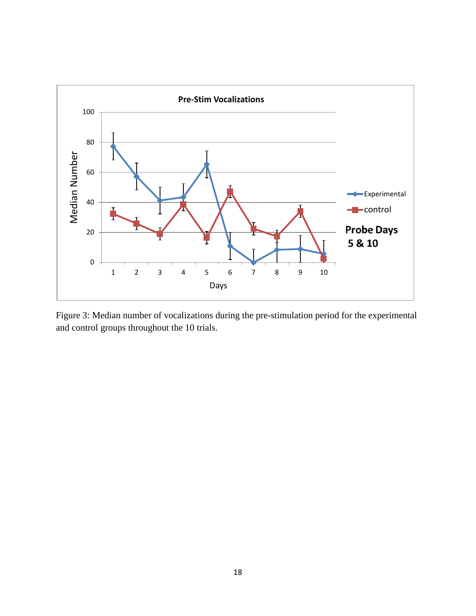

Figure 3: Median number of vocalizations during the pre-stimulation period for the experimental and control groups throughout the 10 trials.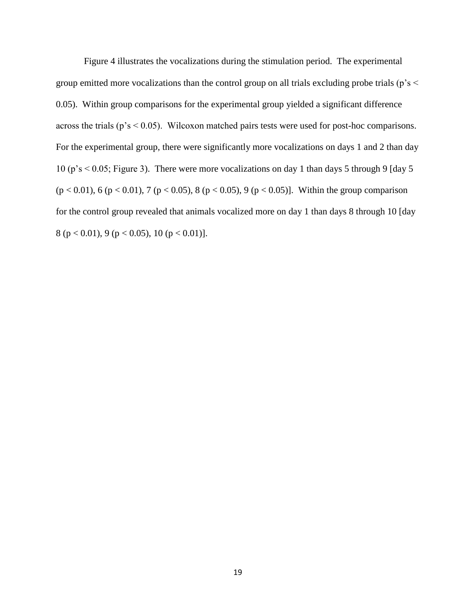Figure 4 illustrates the vocalizations during the stimulation period. The experimental group emitted more vocalizations than the control group on all trials excluding probe trials ( $p's$  < 0.05). Within group comparisons for the experimental group yielded a significant difference across the trials (p's < 0.05). Wilcoxon matched pairs tests were used for post-hoc comparisons. For the experimental group, there were significantly more vocalizations on days 1 and 2 than day 10 (p's < 0.05; Figure 3). There were more vocalizations on day 1 than days 5 through 9 [day 5 (p < 0.01), 6 (p < 0.01), 7 (p < 0.05), 8 (p < 0.05), 9 (p < 0.05)]. Within the group comparison for the control group revealed that animals vocalized more on day 1 than days 8 through 10 [day 8 (p < 0.01), 9 (p < 0.05), 10 (p < 0.01)].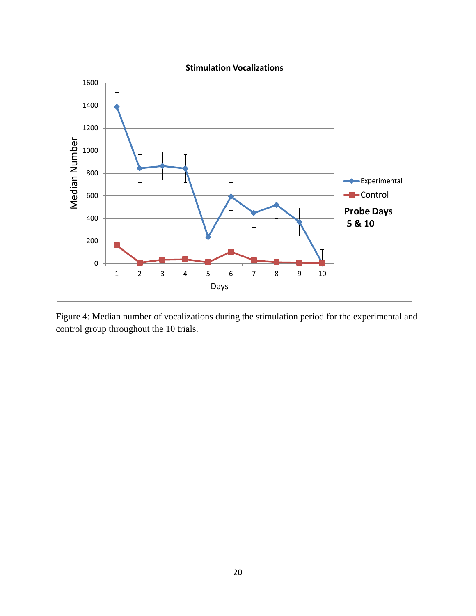

Figure 4: Median number of vocalizations during the stimulation period for the experimental and control group throughout the 10 trials.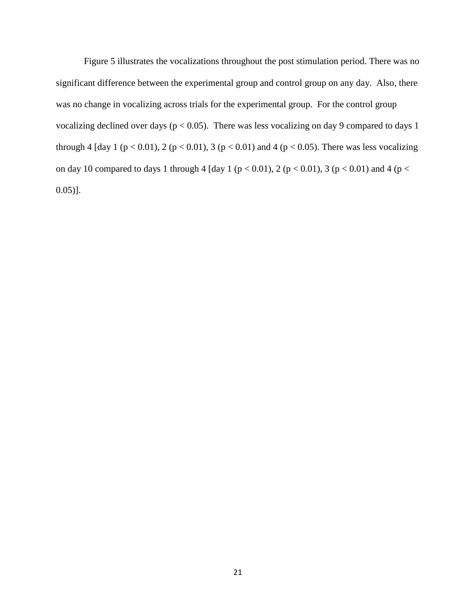Figure 5 illustrates the vocalizations throughout the post stimulation period. There was no significant difference between the experimental group and control group on any day. Also, there was no change in vocalizing across trials for the experimental group. For the control group vocalizing declined over days ( $p < 0.05$ ). There was less vocalizing on day 9 compared to days 1 through 4 [day 1 (p < 0.01), 2 (p < 0.01), 3 (p < 0.01) and 4 (p < 0.05). There was less vocalizing on day 10 compared to days 1 through 4 [day 1 ( $p < 0.01$ ), 2 ( $p < 0.01$ ), 3 ( $p < 0.01$ ) and 4 ( $p <$  $(0.05)$ ].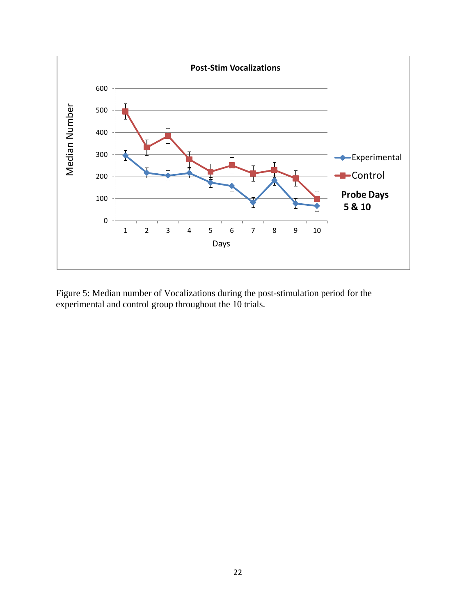

Figure 5: Median number of Vocalizations during the post-stimulation period for the experimental and control group throughout the 10 trials.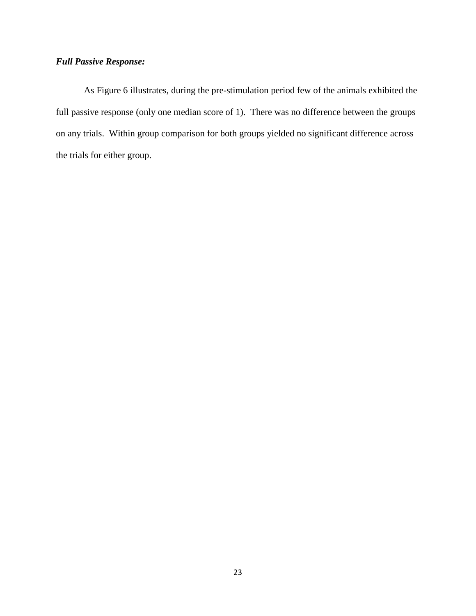### *Full Passive Response:*

As Figure 6 illustrates, during the pre-stimulation period few of the animals exhibited the full passive response (only one median score of 1). There was no difference between the groups on any trials. Within group comparison for both groups yielded no significant difference across the trials for either group.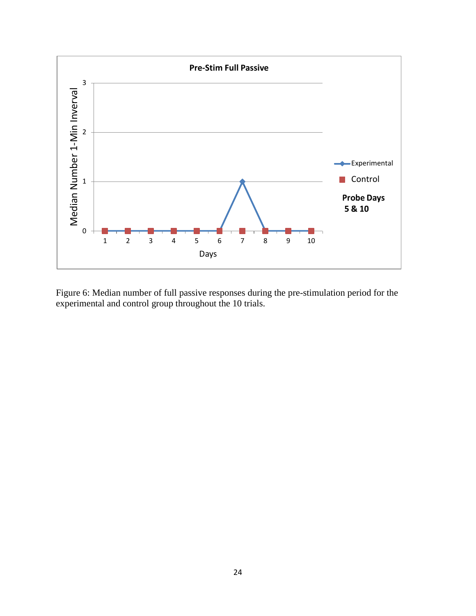

Figure 6: Median number of full passive responses during the pre-stimulation period for the experimental and control group throughout the 10 trials.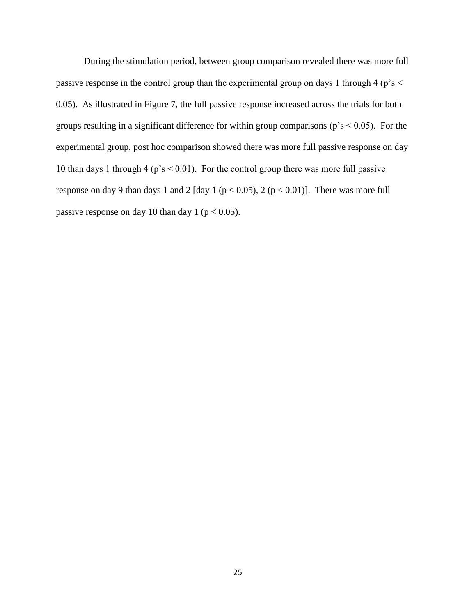During the stimulation period, between group comparison revealed there was more full passive response in the control group than the experimental group on days 1 through 4 (p's < 0.05). As illustrated in Figure 7, the full passive response increased across the trials for both groups resulting in a significant difference for within group comparisons ( $p's < 0.05$ ). For the experimental group, post hoc comparison showed there was more full passive response on day 10 than days 1 through 4 ( $p's < 0.01$ ). For the control group there was more full passive response on day 9 than days 1 and 2 [day 1 ( $p < 0.05$ ), 2 ( $p < 0.01$ )]. There was more full passive response on day 10 than day 1 ( $p < 0.05$ ).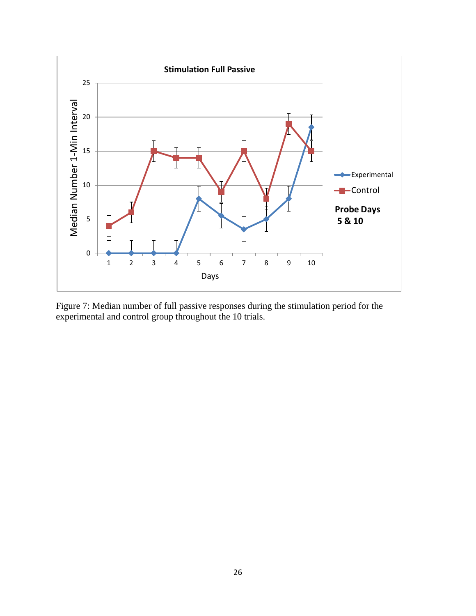

Figure 7: Median number of full passive responses during the stimulation period for the experimental and control group throughout the 10 trials.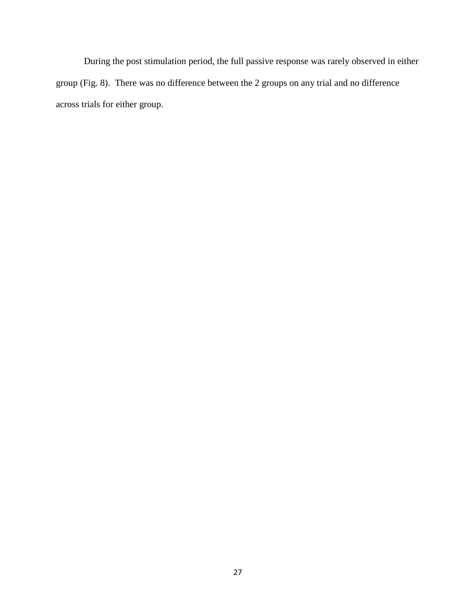During the post stimulation period, the full passive response was rarely observed in either group (Fig. 8). There was no difference between the 2 groups on any trial and no difference across trials for either group.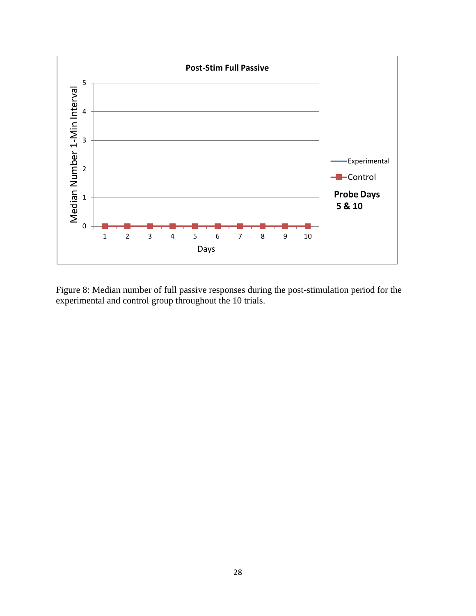

Figure 8: Median number of full passive responses during the post-stimulation period for the experimental and control group throughout the 10 trials.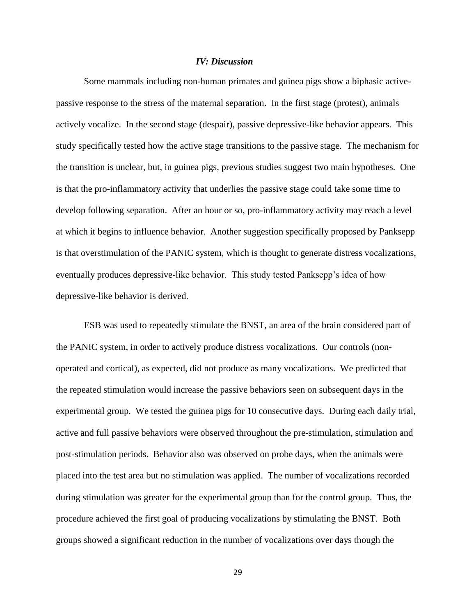#### *IV: Discussion*

Some mammals including non-human primates and guinea pigs show a biphasic activepassive response to the stress of the maternal separation. In the first stage (protest), animals actively vocalize. In the second stage (despair), passive depressive-like behavior appears. This study specifically tested how the active stage transitions to the passive stage. The mechanism for the transition is unclear, but, in guinea pigs, previous studies suggest two main hypotheses. One is that the pro-inflammatory activity that underlies the passive stage could take some time to develop following separation. After an hour or so, pro-inflammatory activity may reach a level at which it begins to influence behavior. Another suggestion specifically proposed by Panksepp is that overstimulation of the PANIC system, which is thought to generate distress vocalizations, eventually produces depressive-like behavior. This study tested Panksepp's idea of how depressive-like behavior is derived.

ESB was used to repeatedly stimulate the BNST, an area of the brain considered part of the PANIC system, in order to actively produce distress vocalizations. Our controls (nonoperated and cortical), as expected, did not produce as many vocalizations. We predicted that the repeated stimulation would increase the passive behaviors seen on subsequent days in the experimental group. We tested the guinea pigs for 10 consecutive days. During each daily trial, active and full passive behaviors were observed throughout the pre-stimulation, stimulation and post-stimulation periods. Behavior also was observed on probe days, when the animals were placed into the test area but no stimulation was applied. The number of vocalizations recorded during stimulation was greater for the experimental group than for the control group. Thus, the procedure achieved the first goal of producing vocalizations by stimulating the BNST. Both groups showed a significant reduction in the number of vocalizations over days though the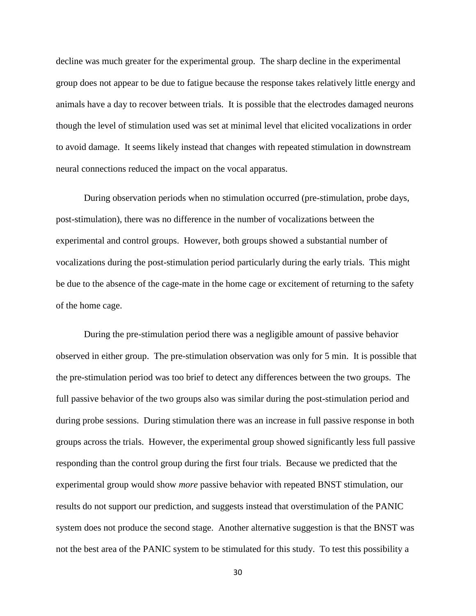decline was much greater for the experimental group. The sharp decline in the experimental group does not appear to be due to fatigue because the response takes relatively little energy and animals have a day to recover between trials. It is possible that the electrodes damaged neurons though the level of stimulation used was set at minimal level that elicited vocalizations in order to avoid damage. It seems likely instead that changes with repeated stimulation in downstream neural connections reduced the impact on the vocal apparatus.

During observation periods when no stimulation occurred (pre-stimulation, probe days, post-stimulation), there was no difference in the number of vocalizations between the experimental and control groups. However, both groups showed a substantial number of vocalizations during the post-stimulation period particularly during the early trials. This might be due to the absence of the cage-mate in the home cage or excitement of returning to the safety of the home cage.

During the pre-stimulation period there was a negligible amount of passive behavior observed in either group. The pre-stimulation observation was only for 5 min. It is possible that the pre-stimulation period was too brief to detect any differences between the two groups. The full passive behavior of the two groups also was similar during the post-stimulation period and during probe sessions. During stimulation there was an increase in full passive response in both groups across the trials. However, the experimental group showed significantly less full passive responding than the control group during the first four trials. Because we predicted that the experimental group would show *more* passive behavior with repeated BNST stimulation, our results do not support our prediction, and suggests instead that overstimulation of the PANIC system does not produce the second stage. Another alternative suggestion is that the BNST was not the best area of the PANIC system to be stimulated for this study. To test this possibility a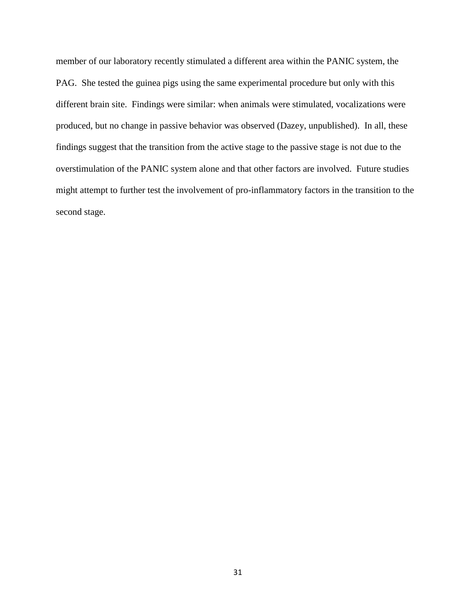member of our laboratory recently stimulated a different area within the PANIC system, the PAG. She tested the guinea pigs using the same experimental procedure but only with this different brain site. Findings were similar: when animals were stimulated, vocalizations were produced, but no change in passive behavior was observed (Dazey, unpublished). In all, these findings suggest that the transition from the active stage to the passive stage is not due to the overstimulation of the PANIC system alone and that other factors are involved. Future studies might attempt to further test the involvement of pro-inflammatory factors in the transition to the second stage.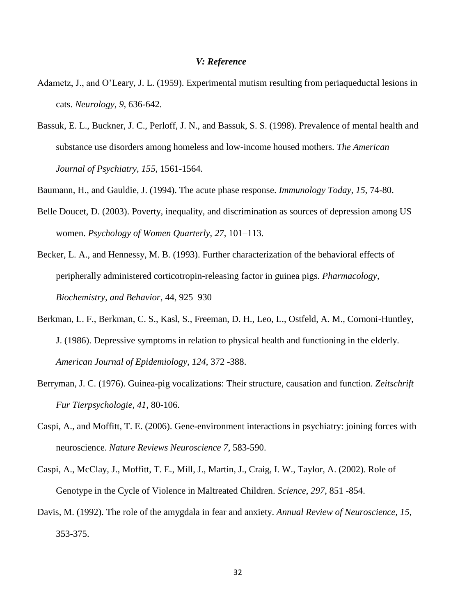#### *V: Reference*

- Adametz, J., and O'Leary, J. L. (1959). Experimental mutism resulting from periaqueductal lesions in cats. *Neurology*, *9*, 636-642.
- Bassuk, E. L., Buckner, J. C., Perloff, J. N., and Bassuk, S. S. (1998). Prevalence of mental health and substance use disorders among homeless and low-income housed mothers. *The American Journal of Psychiatry*, *155*, 1561-1564.
- Baumann, H., and Gauldie, J. (1994). The acute phase response. *Immunology Today*, *15*, 74-80.
- Belle Doucet, D. (2003). Poverty, inequality, and discrimination as sources of depression among US women. *Psychology of Women Quarterly*, *27*, 101–113.
- Becker, L. A., and Hennessy, M. B. (1993). Further characterization of the behavioral effects of peripherally administered corticotropin-releasing factor in guinea pigs. *Pharmacology, Biochemistry, and Behavior*, 44, 925–930
- Berkman, L. F., Berkman, C. S., Kasl, S., Freeman, D. H., Leo, L., Ostfeld, A. M., Cornoni-Huntley, J. (1986). Depressive symptoms in relation to physical health and functioning in the elderly. *American Journal of Epidemiology*, *124*, 372 -388.
- Berryman, J. C. (1976). Guinea-pig vocalizations: Their structure, causation and function. *Zeitschrift Fur Tierpsychologie, 41*, 80-106.
- Caspi, A., and Moffitt, T. E. (2006). Gene-environment interactions in psychiatry: joining forces with neuroscience. *Nature Reviews Neuroscience 7*, 583-590.
- Caspi, A., McClay, J., Moffitt, T. E., Mill, J., Martin, J., Craig, I. W., Taylor, A. (2002). Role of Genotype in the Cycle of Violence in Maltreated Children. *Science*, *297*, 851 -854.
- Davis, M. (1992). The role of the amygdala in fear and anxiety. *Annual Review of Neuroscience*, *15*, 353-375.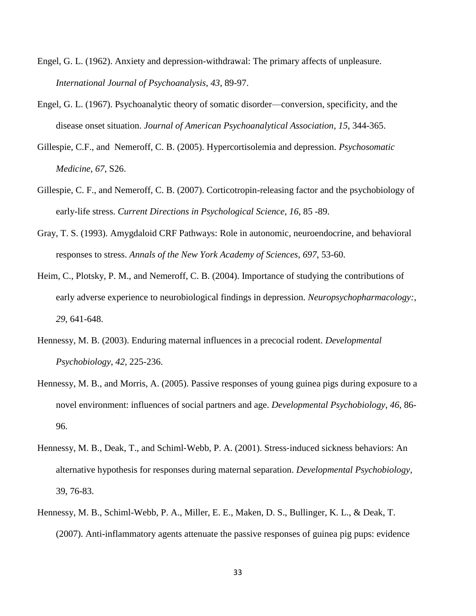- Engel, G. L. (1962). Anxiety and depression-withdrawal: The primary affects of unpleasure. *International Journal of Psychoanalysis*, *43*, 89-97.
- Engel, G. L. (1967). Psychoanalytic theory of somatic disorder—conversion, specificity, and the disease onset situation. *Journal of American Psychoanalytical Association*, *15*, 344-365.
- Gillespie, C.F., and Nemeroff, C. B. (2005). Hypercortisolemia and depression. *Psychosomatic Medicine*, *67,* S26.
- Gillespie, C. F., and Nemeroff, C. B. (2007). Corticotropin-releasing factor and the psychobiology of early-life stress. *Current Directions in Psychological Science*, *16*, 85 -89.
- Gray, T. S. (1993). Amygdaloid CRF Pathways: Role in autonomic, neuroendocrine, and behavioral responses to stress. *Annals of the New York Academy of Sciences*, *697*, 53-60.
- Heim, C., Plotsky, P. M., and Nemeroff, C. B. (2004). Importance of studying the contributions of early adverse experience to neurobiological findings in depression. *Neuropsychopharmacology:*, *29*, 641-648.
- Hennessy, M. B. (2003). Enduring maternal influences in a precocial rodent. *Developmental Psychobiology*, *42*, 225-236.
- Hennessy, M. B., and Morris, A. (2005). Passive responses of young guinea pigs during exposure to a novel environment: influences of social partners and age. *Developmental Psychobiology*, *46*, 86- 96.
- Hennessy, M. B., Deak, T., and Schiml-Webb, P. A. (2001). Stress-induced sickness behaviors: An alternative hypothesis for responses during maternal separation. *Developmental Psychobiology*, 39, 76-83.
- Hennessy, M. B., Schiml-Webb, P. A., Miller, E. E., Maken, D. S., Bullinger, K. L., & Deak, T. (2007). Anti-inflammatory agents attenuate the passive responses of guinea pig pups: evidence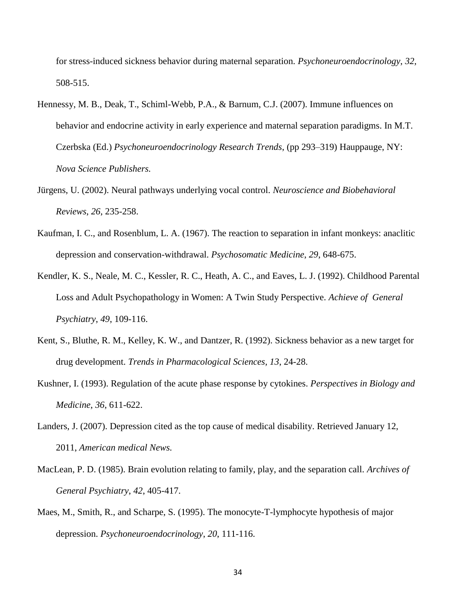for stress-induced sickness behavior during maternal separation. *Psychoneuroendocrinology*, *32*, 508-515.

- Hennessy, M. B., Deak, T., Schiml-Webb, P.A., & Barnum, C.J. (2007). Immune influences on behavior and endocrine activity in early experience and maternal separation paradigms. In M.T. Czerbska (Ed.) *Psychoneuroendocrinology Research Trends*, (pp 293–319) Hauppauge, NY: *Nova Science Publishers.*
- Jürgens, U. (2002). Neural pathways underlying vocal control. *Neuroscience and Biobehavioral Reviews*, *26*, 235-258.
- Kaufman, I. C., and Rosenblum, L. A. (1967). The reaction to separation in infant monkeys: anaclitic depression and conservation-withdrawal. *Psychosomatic Medicine*, *29*, 648-675.
- Kendler, K. S., Neale, M. C., Kessler, R. C., Heath, A. C., and Eaves, L. J. (1992). Childhood Parental Loss and Adult Psychopathology in Women: A Twin Study Perspective. *Achieve of General Psychiatry*, *49*, 109-116.
- Kent, S., Bluthe, R. M., Kelley, K. W., and Dantzer, R. (1992). Sickness behavior as a new target for drug development. *Trends in Pharmacological Sciences, 13*, 24-28.
- Kushner, I. (1993). Regulation of the acute phase response by cytokines. *Perspectives in Biology and Medicine*, *36*, 611-622.
- Landers, J. (2007). Depression cited as the top cause of medical disability. Retrieved January 12, 2011, *American medical News.*
- MacLean, P. D. (1985). Brain evolution relating to family, play, and the separation call. *Archives of General Psychiatry*, *42*, 405-417.
- Maes, M., Smith, R., and Scharpe, S. (1995). The monocyte-T-lymphocyte hypothesis of major depression. *Psychoneuroendocrinology*, *20*, 111-116.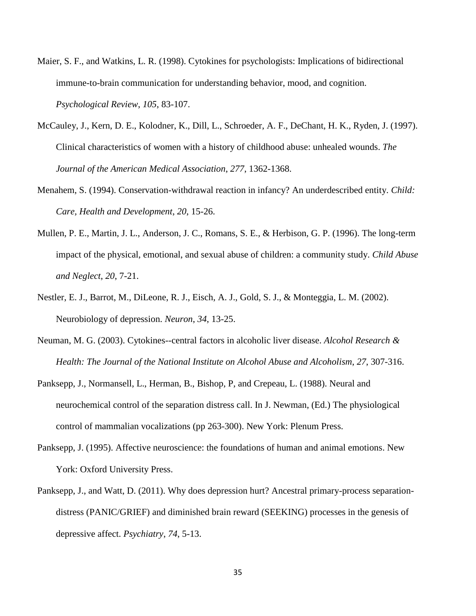- Maier, S. F., and Watkins, L. R. (1998). Cytokines for psychologists: Implications of bidirectional immune-to-brain communication for understanding behavior, mood, and cognition. *Psychological Review*, *105*, 83-107.
- McCauley, J., Kern, D. E., Kolodner, K., Dill, L., Schroeder, A. F., DeChant, H. K., Ryden, J. (1997). Clinical characteristics of women with a history of childhood abuse: unhealed wounds. *The Journal of the American Medical Association*, *277*, 1362-1368.
- Menahem, S. (1994). Conservation-withdrawal reaction in infancy? An underdescribed entity. *Child: Care, Health and Development*, *20*, 15-26.
- Mullen, P. E., Martin, J. L., Anderson, J. C., Romans, S. E., & Herbison, G. P. (1996). The long-term impact of the physical, emotional, and sexual abuse of children: a community study. *Child Abuse and Neglect*, *20*, 7-21.
- Nestler, E. J., Barrot, M., DiLeone, R. J., Eisch, A. J., Gold, S. J., & Monteggia, L. M. (2002). Neurobiology of depression. *Neuron*, *34*, 13-25.
- Neuman, M. G. (2003). Cytokines--central factors in alcoholic liver disease. *Alcohol Research & Health: The Journal of the National Institute on Alcohol Abuse and Alcoholism*, *27*, 307-316.
- Panksepp, J., Normansell, L., Herman, B., Bishop, P, and Crepeau, L. (1988). Neural and neurochemical control of the separation distress call. In J. Newman, (Ed.) The physiological control of mammalian vocalizations (pp 263-300). New York: Plenum Press.
- Panksepp, J. (1995). Affective neuroscience: the foundations of human and animal emotions. New York: Oxford University Press.
- Panksepp, J., and Watt, D. (2011). Why does depression hurt? Ancestral primary-process separationdistress (PANIC/GRIEF) and diminished brain reward (SEEKING) processes in the genesis of depressive affect. *Psychiatry*, *74*, 5-13.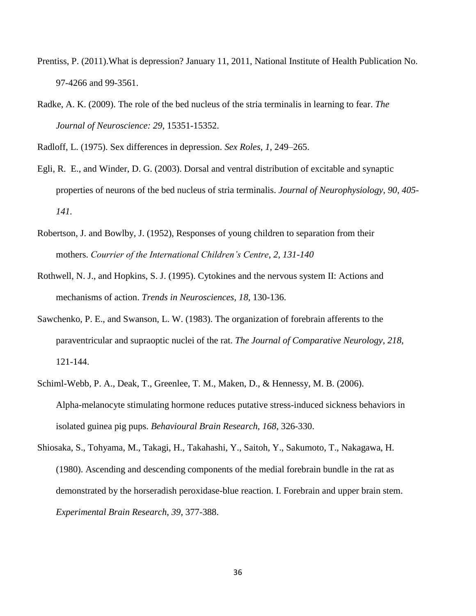- Prentiss, P. (2011).What is depression? January 11, 2011, National Institute of Health Publication No. 97-4266 and 99-3561.
- Radke, A. K. (2009). The role of the bed nucleus of the stria terminalis in learning to fear. *The Journal of Neuroscience: 29*, 15351-15352.

Radloff, L. (1975). Sex differences in depression. *Sex Roles*, *1*, 249–265.

- Egli, R. E., and Winder, D. G. (2003). Dorsal and ventral distribution of excitable and synaptic properties of neurons of the bed nucleus of stria terminalis. *Journal of Neurophysiology, 90, 405- 141.*
- Robertson, J. and Bowlby, J. (1952), Responses of young children to separation from their mothers. *Courrier of the International Children's Centre*, *2, 131-140*
- Rothwell, N. J., and Hopkins, S. J. (1995). Cytokines and the nervous system II: Actions and mechanisms of action. *Trends in Neurosciences*, *18*, 130-136.
- Sawchenko, P. E., and Swanson, L. W. (1983). The organization of forebrain afferents to the paraventricular and supraoptic nuclei of the rat. *The Journal of Comparative Neurology*, *218*, 121-144.
- Schiml-Webb, P. A., Deak, T., Greenlee, T. M., Maken, D., & Hennessy, M. B. (2006). Alpha-melanocyte stimulating hormone reduces putative stress-induced sickness behaviors in isolated guinea pig pups. *Behavioural Brain Research, 168*, 326-330.
- Shiosaka, S., Tohyama, M., Takagi, H., Takahashi, Y., Saitoh, Y., Sakumoto, T., Nakagawa, H. (1980). Ascending and descending components of the medial forebrain bundle in the rat as demonstrated by the horseradish peroxidase-blue reaction. I. Forebrain and upper brain stem. *Experimental Brain Research*, *39*, 377-388.